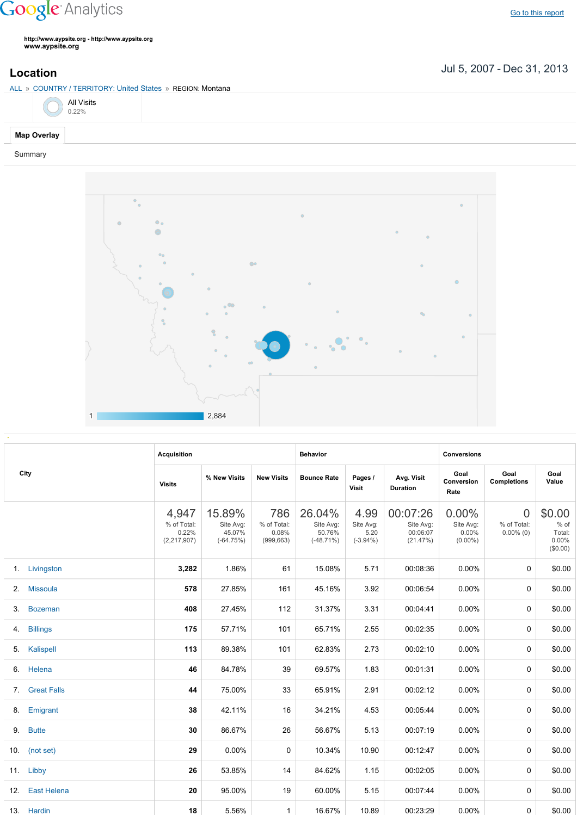## **Google** Analytics

Go to this [report](https://www.google.com/analytics/web/?utm_source=pdfReportLink#report/visitors-geo/a2184169w3912412p4016214/%3F_u.date00%3D20070705%26_u.date01%3D20131231%26geo-table.plotKeys%3D%5B%5D%26geo-table.rowStart%3D0%26geo-table.rowCount%3D1000%26_r.drilldown%3Danalytics.country%3AUS%2Canalytics.region%3A21159/)

**http://www.aypsite.org http://www.aypsite.org www.aypsite.org**

## ALL » COUNTRY / TERRITORY: United States » REGION: Montana

|  | <b>All Visits</b><br>0.22% |
|--|----------------------------|
|  |                            |

## **Map Overlay**

Summary



|     |                    | <b>Acquisition</b>                           |                                              |                                           | <b>Behavior</b>                              |                                          |                                               | <b>Conversions</b>                           |                                               |                                                  |
|-----|--------------------|----------------------------------------------|----------------------------------------------|-------------------------------------------|----------------------------------------------|------------------------------------------|-----------------------------------------------|----------------------------------------------|-----------------------------------------------|--------------------------------------------------|
|     | City               | <b>Visits</b>                                | % New Visits                                 | <b>New Visits</b>                         | <b>Bounce Rate</b>                           | Pages /<br><b>Visit</b>                  | Avg. Visit<br><b>Duration</b>                 | Goal<br>Conversion<br>Rate                   | Goal<br><b>Completions</b>                    | Goal<br>Value                                    |
|     |                    | 4,947<br>% of Total:<br>0.22%<br>(2,217,907) | 15.89%<br>Site Avg:<br>45.07%<br>$(-64.75%)$ | 786<br>% of Total:<br>0.08%<br>(999, 663) | 26.04%<br>Site Avg:<br>50.76%<br>$(-48.71%)$ | 4.99<br>Site Avg:<br>5.20<br>$(-3.94\%)$ | 00:07:26<br>Site Avg:<br>00:06:07<br>(21.47%) | $0.00\%$<br>Site Avg:<br>0.00%<br>$(0.00\%)$ | $\overline{0}$<br>% of Total:<br>$0.00\%$ (0) | \$0.00<br>% of<br>Total:<br>$0.00\%$<br>(\$0.00) |
| 1.  | Livingston         | 3,282                                        | 1.86%                                        | 61                                        | 15.08%                                       | 5.71                                     | 00:08:36                                      | 0.00%                                        | $\Omega$                                      | \$0.00                                           |
| 2.  | Missoula           | 578                                          | 27.85%                                       | 161                                       | 45.16%                                       | 3.92                                     | 00:06:54                                      | 0.00%                                        | $\mathbf 0$                                   | \$0.00                                           |
| 3.  | <b>Bozeman</b>     | 408                                          | 27.45%                                       | 112                                       | 31.37%                                       | 3.31                                     | 00:04:41                                      | 0.00%                                        | $\mathbf 0$                                   | \$0.00                                           |
| 4.  | <b>Billings</b>    | 175                                          | 57.71%                                       | 101                                       | 65.71%                                       | 2.55                                     | 00:02:35                                      | 0.00%                                        | $\Omega$                                      | \$0.00                                           |
| 5.  | Kalispell          | 113                                          | 89.38%                                       | 101                                       | 62.83%                                       | 2.73                                     | 00:02:10                                      | 0.00%                                        | $\Omega$                                      | \$0.00                                           |
| 6.  | Helena             | 46                                           | 84.78%                                       | 39                                        | 69.57%                                       | 1.83                                     | 00:01:31                                      | 0.00%                                        | $\Omega$                                      | \$0.00                                           |
| 7.  | <b>Great Falls</b> | 44                                           | 75.00%                                       | 33                                        | 65.91%                                       | 2.91                                     | 00:02:12                                      | 0.00%                                        | $\mathbf 0$                                   | \$0.00                                           |
| 8.  | Emigrant           | 38                                           | 42.11%                                       | 16                                        | 34.21%                                       | 4.53                                     | 00:05:44                                      | $0.00\%$                                     | $\mathbf 0$                                   | \$0.00                                           |
| 9.  | <b>Butte</b>       | 30                                           | 86.67%                                       | 26                                        | 56.67%                                       | 5.13                                     | 00:07:19                                      | $0.00\%$                                     | $\Omega$                                      | \$0.00                                           |
|     | 10. $(not set)$    | 29                                           | 0.00%                                        | $\Omega$                                  | 10.34%                                       | 10.90                                    | 00:12:47                                      | 0.00%                                        | 0                                             | \$0.00                                           |
|     | 11. Libby          | 26                                           | 53.85%                                       | 14                                        | 84.62%                                       | 1.15                                     | 00:02:05                                      | 0.00%                                        | $\mathbf 0$                                   | \$0.00                                           |
| 12. | East Helena        | 20                                           | 95.00%                                       | 19                                        | 60.00%                                       | 5.15                                     | 00:07:44                                      | 0.00%                                        | $\mathbf 0$                                   | \$0.00                                           |
|     | 13. Hardin         | 18                                           | 5.56%                                        | $\mathbf{1}$                              | 16.67%                                       | 10.89                                    | 00:23:29                                      | 0.00%                                        | 0                                             | \$0.00                                           |

Jul 5, 2007 Dec 31, 2013 **Location**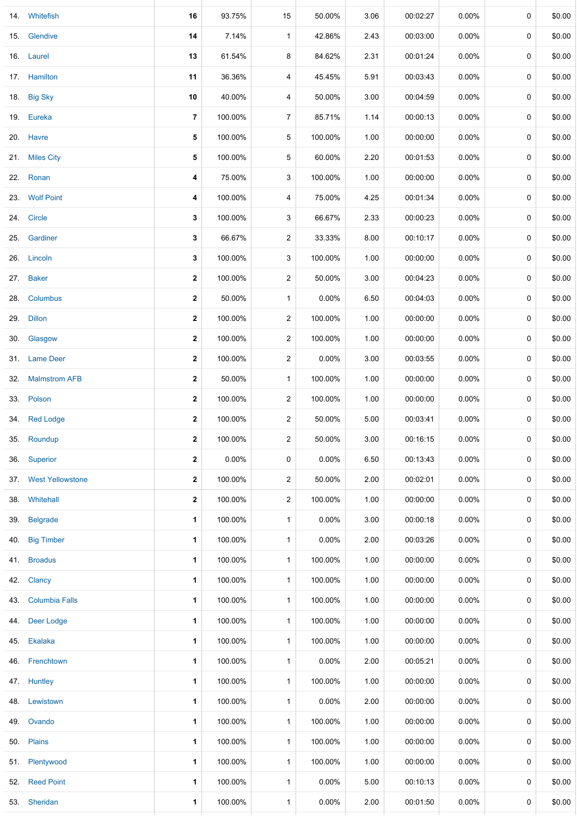|     | 14. Whitefish         | 16             | 93.75%  | 15             | 50.00%   | 3.06 | 00:02:27 | 0.00%    | 0 | \$0.00 |
|-----|-----------------------|----------------|---------|----------------|----------|------|----------|----------|---|--------|
|     | 15. Glendive          | 14             | 7.14%   | $\mathbf{1}$   | 42.86%   | 2.43 | 00:03:00 | 0.00%    | 0 | \$0.00 |
|     | 16. Laurel            | 13             | 61.54%  | 8              | 84.62%   | 2.31 | 00:01:24 | $0.00\%$ | 0 | \$0.00 |
|     | 17. Hamilton          | 11             | 36.36%  | 4              | 45.45%   | 5.91 | 00:03:43 | 0.00%    | 0 | \$0.00 |
|     | 18. Big Sky           | 10             | 40.00%  | 4              | 50.00%   | 3.00 | 00:04:59 | $0.00\%$ | 0 | \$0.00 |
|     | 19. Eureka            | $\overline{7}$ | 100.00% | $\overline{7}$ | 85.71%   | 1.14 | 00:00:13 | $0.00\%$ | 0 | \$0.00 |
|     | 20. Havre             | 5              | 100.00% | 5              | 100.00%  | 1.00 | 00:00:00 | $0.00\%$ | 0 | \$0.00 |
|     | 21. Miles City        | 5              | 100.00% | 5              | 60.00%   | 2.20 | 00:01:53 | $0.00\%$ | 0 | \$0.00 |
|     | 22. Ronan             | 4              | 75.00%  | 3              | 100.00%  | 1.00 | 00:00:00 | 0.00%    | 0 | \$0.00 |
|     | 23. Wolf Point        | 4              | 100.00% | 4              | 75.00%   | 4.25 | 00:01:34 | $0.00\%$ | 0 | \$0.00 |
|     | 24. Circle            | 3              | 100.00% | 3              | 66.67%   | 2.33 | 00:00:23 | 0.00%    | 0 | \$0.00 |
| 25. | Gardiner              | 3              | 66.67%  | $\overline{c}$ | 33.33%   | 8.00 | 00:10:17 | 0.00%    | 0 | \$0.00 |
|     | 26. Lincoln           | 3              | 100.00% | 3              | 100.00%  | 1.00 | 00:00:00 | $0.00\%$ | 0 | \$0.00 |
| 27. | <b>Baker</b>          | 2              | 100.00% | $\overline{2}$ | 50.00%   | 3.00 | 00:04:23 | 0.00%    | 0 | \$0.00 |
| 28. | Columbus              | 2              | 50.00%  | $\mathbf{1}$   | 0.00%    | 6.50 | 00:04:03 | 0.00%    | 0 | \$0.00 |
| 29. | <b>Dillon</b>         | 2              | 100.00% | $\overline{c}$ | 100.00%  | 1.00 | 00:00:00 | $0.00\%$ | 0 | \$0.00 |
|     | 30. Glasgow           | 2              | 100.00% | 2              | 100.00%  | 1.00 | 00:00:00 | $0.00\%$ | 0 | \$0.00 |
|     | 31. Lame Deer         | 2              | 100.00% | $\overline{c}$ | 0.00%    | 3.00 | 00:03:55 | $0.00\%$ | 0 | \$0.00 |
| 32. | <b>Malmstrom AFB</b>  | 2              | 50.00%  | $\mathbf{1}$   | 100.00%  | 1.00 | 00:00:00 | $0.00\%$ | 0 | \$0.00 |
|     | 33. Polson            | 2              | 100.00% | $\overline{c}$ | 100.00%  | 1.00 | 00:00:00 | $0.00\%$ | 0 | \$0.00 |
|     | 34. Red Lodge         | $\mathbf{2}$   | 100.00% | $\overline{2}$ | 50.00%   | 5.00 | 00:03:41 | $0.00\%$ | 0 | \$0.00 |
|     | 35. Roundup           | 2              | 100.00% | $\overline{c}$ | 50.00%   | 3.00 | 00:16:15 | $0.00\%$ | 0 | \$0.00 |
| 36. | Superior              | $\mathbf{2}$   | 0.00%   | 0              | $0.00\%$ | 6.50 | 00:13:43 | $0.00\%$ | 0 | \$0.00 |
|     | 37. West Yellowstone  | 2              | 100.00% | $\overline{c}$ | 50.00%   | 2.00 | 00:02:01 | $0.00\%$ | 0 | \$0.00 |
| 38. | Whitehall             | $\mathbf{2}$   | 100.00% | $\overline{2}$ | 100.00%  | 1.00 | 00:00:00 | $0.00\%$ | 0 | \$0.00 |
| 39. | <b>Belgrade</b>       | 1              | 100.00% | $\mathbf{1}$   | 0.00%    | 3.00 | 00:00:18 | 0.00%    | 0 | \$0.00 |
| 40. | <b>Big Timber</b>     | 1              | 100.00% | $\mathbf{1}$   | $0.00\%$ | 2.00 | 00:03:26 | 0.00%    | 0 | \$0.00 |
| 41. | <b>Broadus</b>        | 1              | 100.00% | $\mathbf{1}$   | 100.00%  | 1.00 | 00:00:00 | $0.00\%$ | 0 | \$0.00 |
| 42. | Clancy                | 1              | 100.00% | $\mathbf{1}$   | 100.00%  | 1.00 | 00:00:00 | 0.00%    | 0 | \$0.00 |
| 43. | <b>Columbia Falls</b> | 1              | 100.00% | $\mathbf{1}$   | 100.00%  | 1.00 | 00:00:00 | 0.00%    | 0 | \$0.00 |
| 44. | Deer Lodge            | 1              | 100.00% | $\mathbf{1}$   | 100.00%  | 1.00 | 00:00:00 | $0.00\%$ | 0 | \$0.00 |
| 45. | Ekalaka               | 1              | 100.00% | $\mathbf{1}$   | 100.00%  | 1.00 | 00:00:00 | $0.00\%$ | 0 | \$0.00 |
| 46. | Frenchtown            | 1              | 100.00% | $\mathbf{1}$   | 0.00%    | 2.00 | 00:05:21 | $0.00\%$ | 0 | \$0.00 |
|     | 47. Huntley           | $\mathbf{1}$   | 100.00% | $\mathbf{1}$   | 100.00%  | 1.00 | 00:00:00 | $0.00\%$ | 0 | \$0.00 |
| 48. | Lewistown             | 1              | 100.00% | $\mathbf{1}$   | 0.00%    | 2.00 | 00:00:00 | $0.00\%$ | 0 | \$0.00 |
| 49. | Ovando                | 1              | 100.00% | $\mathbf{1}$   | 100.00%  | 1.00 | 00:00:00 | $0.00\%$ | 0 | \$0.00 |
|     | 50. Plains            | 1              | 100.00% | $\mathbf{1}$   | 100.00%  | 1.00 | 00:00:00 | $0.00\%$ | 0 | \$0.00 |
| 51. | Plentywood            | 1              | 100.00% | $\mathbf{1}$   | 100.00%  | 1.00 | 00:00:00 | $0.00\%$ | 0 | \$0.00 |
| 52. | <b>Reed Point</b>     | 1              | 100.00% | $\mathbf{1}$   | 0.00%    | 5.00 | 00:10:13 | $0.00\%$ | 0 | \$0.00 |
|     | 53. Sheridan          | 1              | 100.00% | $\mathbf{1}$   | $0.00\%$ | 2.00 | 00:01:50 | $0.00\%$ | 0 | \$0.00 |